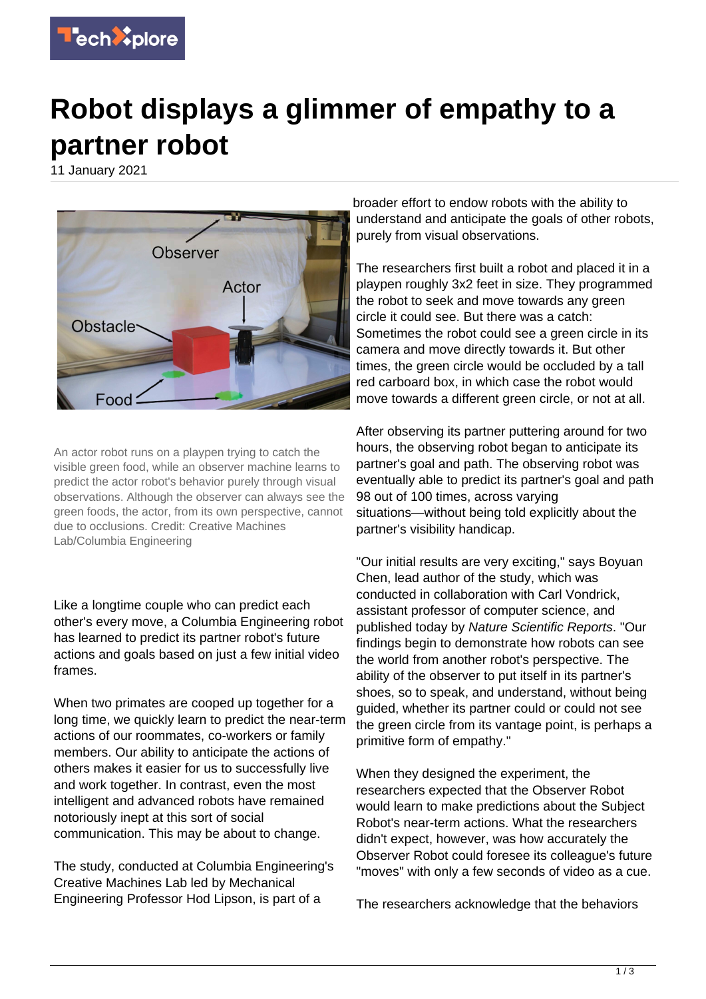

## **Robot displays a glimmer of empathy to a partner robot**

11 January 2021



An actor robot runs on a playpen trying to catch the visible green food, while an observer machine learns to predict the actor robot's behavior purely through visual observations. Although the observer can always see the green foods, the actor, from its own perspective, cannot due to occlusions. Credit: Creative Machines Lab/Columbia Engineering

Like a longtime couple who can predict each other's every move, a Columbia Engineering robot has learned to predict its partner robot's future actions and goals based on just a few initial video frames.

When two primates are cooped up together for a long time, we quickly learn to predict the near-term actions of our roommates, co-workers or family members. Our ability to anticipate the actions of others makes it easier for us to successfully live and work together. In contrast, even the most intelligent and advanced robots have remained notoriously inept at this sort of social communication. This may be about to change.

The study, conducted at Columbia Engineering's Creative Machines Lab led by Mechanical Engineering Professor Hod Lipson, is part of a

broader effort to endow robots with the ability to understand and anticipate the goals of other robots, purely from visual observations.

The researchers first built a robot and placed it in a playpen roughly 3x2 feet in size. They programmed the robot to seek and move towards any green circle it could see. But there was a catch: Sometimes the robot could see a green circle in its camera and move directly towards it. But other times, the green circle would be occluded by a tall red carboard box, in which case the robot would move towards a different green circle, or not at all.

After observing its partner puttering around for two hours, the observing robot began to anticipate its partner's goal and path. The observing robot was eventually able to predict its partner's goal and path 98 out of 100 times, across varying situations—without being told explicitly about the partner's visibility handicap.

"Our initial results are very exciting," says Boyuan Chen, lead author of the study, which was conducted in collaboration with Carl Vondrick, assistant professor of computer science, and published today by Nature Scientific Reports. "Our findings begin to demonstrate how robots can see the world from another robot's perspective. The ability of the observer to put itself in its partner's shoes, so to speak, and understand, without being guided, whether its partner could or could not see the green circle from its vantage point, is perhaps a primitive form of empathy."

When they designed the experiment, the researchers expected that the Observer Robot would learn to make predictions about the Subject Robot's near-term actions. What the researchers didn't expect, however, was how accurately the Observer Robot could foresee its colleague's future "moves" with only a few seconds of video as a cue.

The researchers acknowledge that the behaviors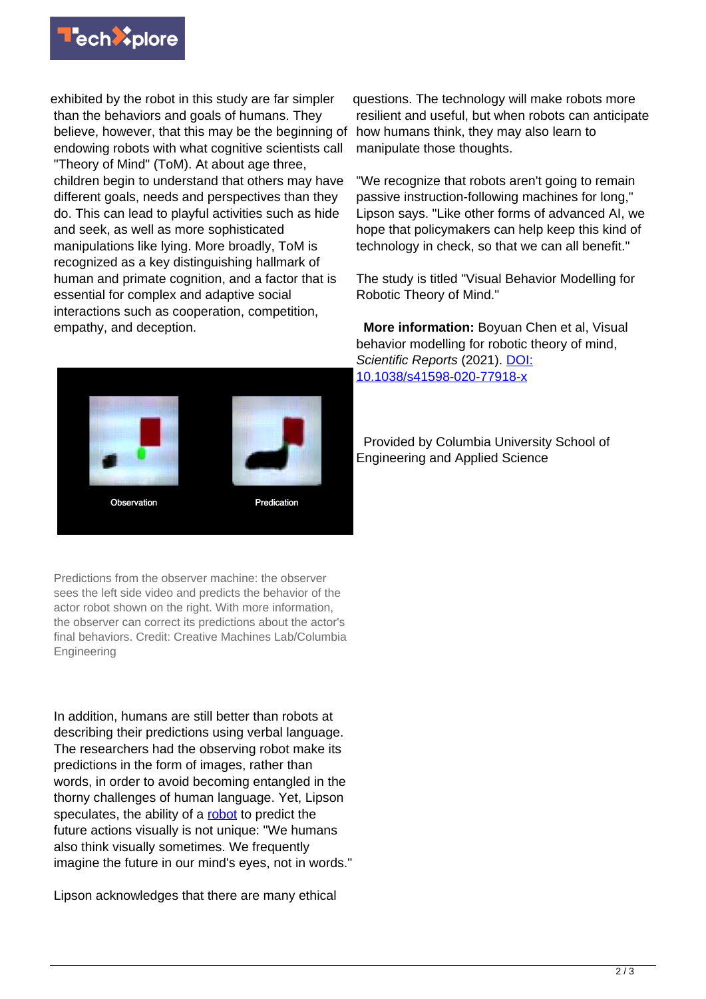

exhibited by the robot in this study are far simpler than the behaviors and goals of humans. They believe, however, that this may be the beginning of endowing robots with what cognitive scientists call "Theory of Mind" (ToM). At about age three, children begin to understand that others may have different goals, needs and perspectives than they do. This can lead to playful activities such as hide and seek, as well as more sophisticated manipulations like lying. More broadly, ToM is recognized as a key distinguishing hallmark of human and primate cognition, and a factor that is essential for complex and adaptive social interactions such as cooperation, competition, empathy, and deception.



Predictions from the observer machine: the observer sees the left side video and predicts the behavior of the actor robot shown on the right. With more information, the observer can correct its predictions about the actor's final behaviors. Credit: Creative Machines Lab/Columbia Engineering

In addition, humans are still better than robots at describing their predictions using verbal language. The researchers had the observing robot make its predictions in the form of images, rather than words, in order to avoid becoming entangled in the thorny challenges of human language. Yet, Lipson speculates, the ability of a [robot](https://techxplore.com/tags/robot/) to predict the future actions visually is not unique: "We humans also think visually sometimes. We frequently imagine the future in our mind's eyes, not in words."

Lipson acknowledges that there are many ethical

questions. The technology will make robots more resilient and useful, but when robots can anticipate how humans think, they may also learn to manipulate those thoughts.

"We recognize that robots aren't going to remain passive instruction-following machines for long," Lipson says. "Like other forms of advanced AI, we hope that policymakers can help keep this kind of technology in check, so that we can all benefit."

The study is titled "Visual Behavior Modelling for Robotic Theory of Mind."

 **More information:** Boyuan Chen et al, Visual behavior modelling for robotic theory of mind, Scientific Reports (2021). [DOI:](http://dx.doi.org/10.1038/s41598-020-77918-x) [10.1038/s41598-020-77918-x](http://dx.doi.org/10.1038/s41598-020-77918-x)

 Provided by Columbia University School of Engineering and Applied Science